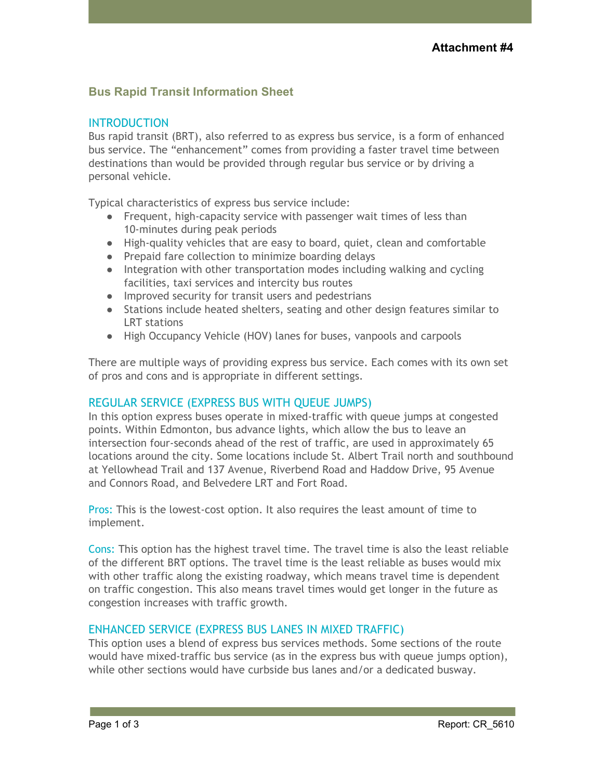# **Bus Rapid Transit Information Sheet**

### **INTRODUCTION**

Bus rapid transit (BRT), also referred to as express bus service, is a form of enhanced bus service. The "enhancement" comes from providing a faster travel time between destinations than would be provided through regular bus service or by driving a personal vehicle.

Typical characteristics of express bus service include:

- Frequent, high-capacity service with passenger wait times of less than 10-minutes during peak periods
- High-quality vehicles that are easy to board, quiet, clean and comfortable
- Prepaid fare collection to minimize boarding delays
- Integration with other transportation modes including walking and cycling facilities, taxi services and intercity bus routes
- Improved security for transit users and pedestrians
- Stations include heated shelters, seating and other design features similar to LRT stations
- High Occupancy Vehicle (HOV) lanes for buses, vanpools and carpools

There are multiple ways of providing express bus service. Each comes with its own set of pros and cons and is appropriate in different settings.

#### REGULAR SERVICE (EXPRESS BUS WITH QUEUE JUMPS)

In this option express buses operate in mixed-traffic with queue jumps at congested points. Within Edmonton, bus advance lights, which allow the bus to leave an intersection four-seconds ahead of the rest of traffic, are used in approximately 65 locations around the city. Some locations include St. Albert Trail north and southbound at Yellowhead Trail and 137 Avenue, Riverbend Road and Haddow Drive, 95 Avenue and Connors Road, and Belvedere LRT and Fort Road.

Pros: This is the lowest-cost option. It also requires the least amount of time to implement.

Cons: This option has the highest travel time. The travel time is also the least reliable of the different BRT options. The travel time is the least reliable as buses would mix with other traffic along the existing roadway, which means travel time is dependent on traffic congestion. This also means travel times would get longer in the future as congestion increases with traffic growth.

# ENHANCED SERVICE (EXPRESS BUS LANES IN MIXED TRAFFIC)

This option uses a blend of express bus services methods. Some sections of the route would have mixed-traffic bus service (as in the express bus with queue jumps option), while other sections would have curbside bus lanes and/or a dedicated busway.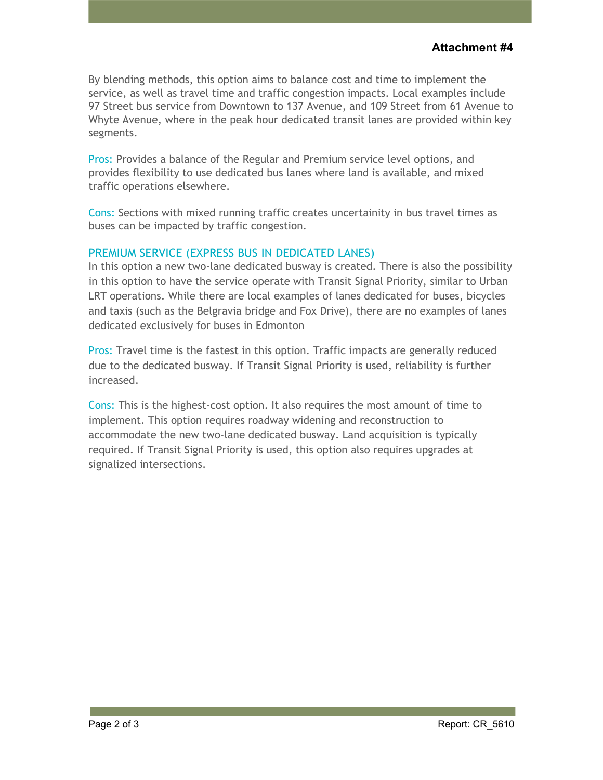By blending methods, this option aims to balance cost and time to implement the service, as well as travel time and traffic congestion impacts. Local examples include 97 Street bus service from Downtown to 137 Avenue, and 109 Street from 61 Avenue to Whyte Avenue, where in the peak hour dedicated transit lanes are provided within key segments.

Pros: Provides a balance of the Regular and Premium service level options, and provides flexibility to use dedicated bus lanes where land is available, and mixed traffic operations elsewhere.

Cons: Sections with mixed running traffic creates uncertainity in bus travel times as buses can be impacted by traffic congestion.

## PREMIUM SERVICE (EXPRESS BUS IN DEDICATED LANES)

In this option a new two-lane dedicated busway is created. There is also the possibility in this option to have the service operate with Transit Signal Priority, similar to Urban LRT operations. While there are local examples of lanes dedicated for buses, bicycles and taxis (such as the Belgravia bridge and Fox Drive), there are no examples of lanes dedicated exclusively for buses in Edmonton

Pros: Travel time is the fastest in this option. Traffic impacts are generally reduced due to the dedicated busway. If Transit Signal Priority is used, reliability is further increased.

Cons: This is the highest-cost option. It also requires the most amount of time to implement. This option requires roadway widening and reconstruction to accommodate the new two-lane dedicated busway. Land acquisition is typically required. If Transit Signal Priority is used, this option also requires upgrades at signalized intersections.